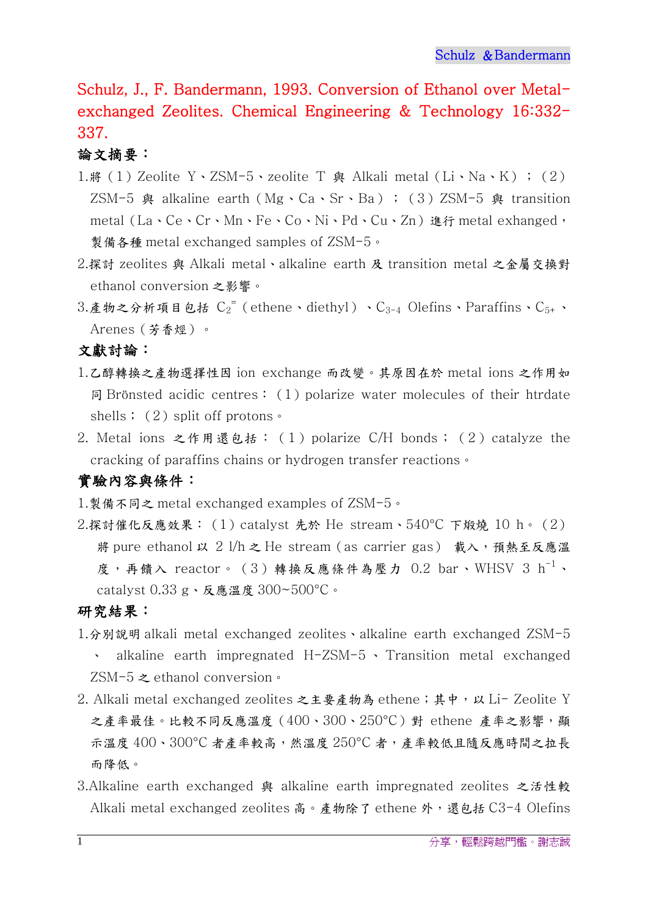Schulz, J., F. Bandermann, 1993. Conversion of Ethanol over Metalexchanged Zeolites. Chemical Engineering & Technology 16:332- 337.

## 論文摘要:

- 1.將(1)Zeolite Y、ZSM-5、zeolite T 與 Alkali metal (Li、Na、K) ; (2) ZSM-5 與 alkaline earth (Mg、Ca、Sr、Ba); (3)ZSM-5 與 transition metal (La、Ce、Cr、Mn、Fe、Co、Ni、Pd、Cu、Zn) 進行 metal exhanged, 製備各種 metal exchanged samples of ZSM-5。
- 2.探討 zeolites 與 Alkali metal、alkaline earth 及 transition metal 之金屬交換對 ethanol conversion 之影響。
- 3.產物之分析項目包括  $C_2^{\texttt{=} \texttt{}}$  (ethene、diethyl) 、 $C_{3-4}$  Olefins、Paraffins、 $C_{5+}$ 、 Arenes(芳香烴)。

文獻討論:

- 1.乙醇轉換之產物選擇性因 ion exchange 而改變。其原因在於 metal ions 之作用如 同 Brönsted acidic centres:  $(1)$  polarize water molecules of their htrdate shells; (2) split off protons。
- 2. Metal ions 之作用還包括:(1)polarize C/H bonds;(2)catalyze the cracking of paraffins chains or hydrogen transfer reactions。

## 實驗內容與條件:

- 1.製備不同之 metal exchanged examples of ZSM-5。
- 2.探討催化反應效果:(1)catalyst 先於 He stream、540°C 下煅燒 10 h。(2) 將 pure ethanol 以 2 l/h 之 He stream(as carrier gas) 載入,預熱至反應溫 度,再饋入 reactor。(3)轉換反應條件為壓力 0.2 bar、WHSV 3 h<sup>-1</sup>、 catalyst 0.33 g、反應溫度 300~500°C。

## 研究結果:

- 1.分別說明 alkali metal exchanged zeolites、alkaline earth exchanged ZSM-5 alkaline earth impregnated  $H-ZSM-5$  Yansition metal exchanged ZSM-5 之 ethanol conversion。
- 2. Alkali metal exchanged zeolites 之主要産物為 ethene; 其中, 以 Li- Zeolite Y 之產率最佳。比較不同反應溫度 (400、300、250℃) 對 ethene 產率之影響,顯 示溫度 400、300°C 者產率較高,然溫度 250°C 者,產率較低且隨反應時間之拉長 而降低。
- 3.Alkaline earth exchanged 與 alkaline earth impregnated zeolites 之活性較 Alkali metal exchanged zeolites 高。產物除了 ethene 外,還包括 C3-4 Olefins